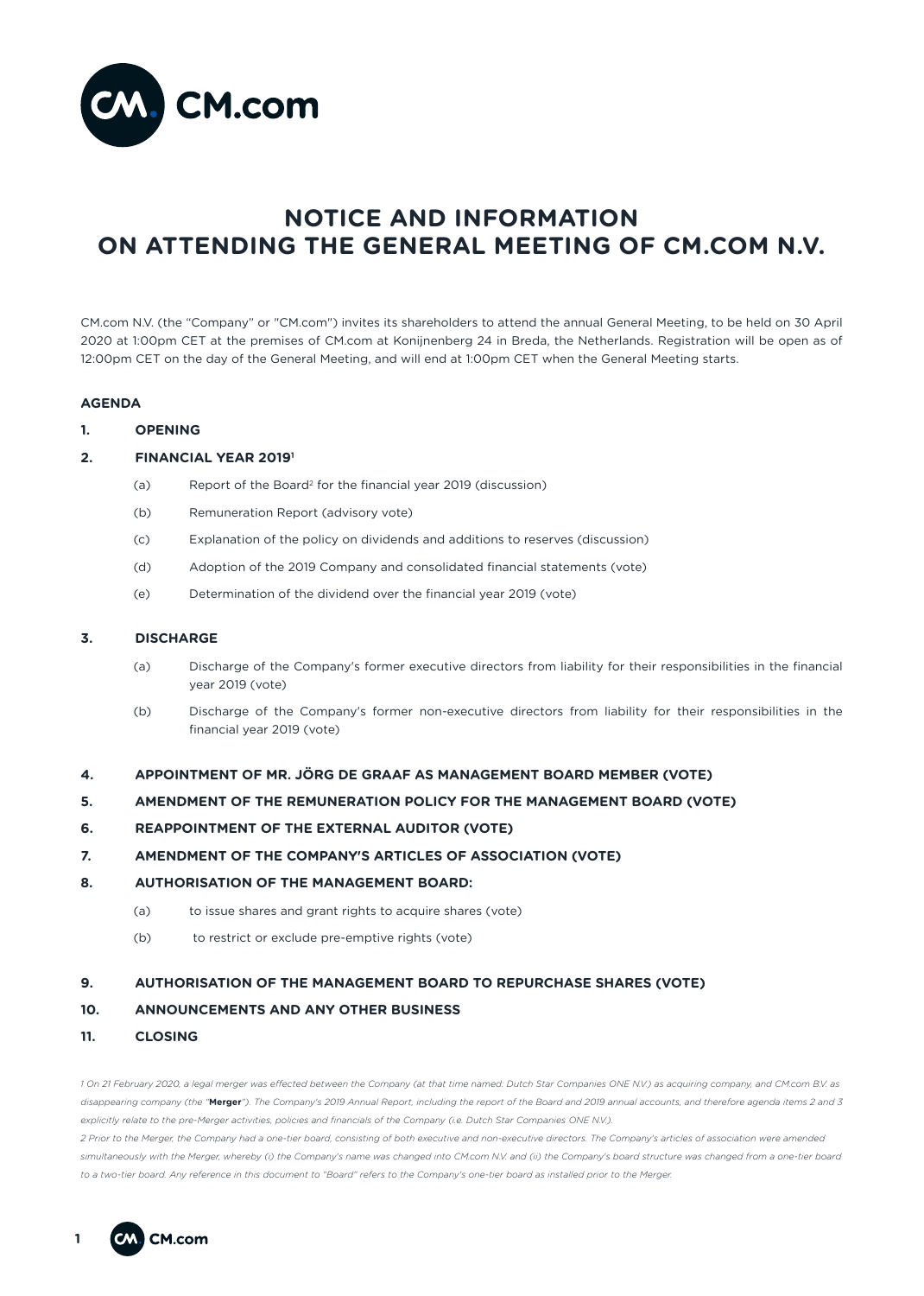

# **NOTICE AND INFORMATION ON ATTENDING THE GENERAL MEETING OF CM.COM N.V.**

CM.com N.V. (the "Company" or "CM.com") invites its shareholders to attend the annual General Meeting, to be held on 30 April 2020 at 1:00pm CET at the premises of CM.com at Konijnenberg 24 in Breda, the Netherlands. Registration will be open as of 12:00pm CET on the day of the General Meeting, and will end at 1:00pm CET when the General Meeting starts.

# **AGENDA**

**1. OPENING**

# **2. FINANCIAL YEAR 20191**

- (a) Report of the Board2 for the financial year 2019 (discussion)
- (b) Remuneration Report (advisory vote)
- (c) Explanation of the policy on dividends and additions to reserves (discussion)
- (d) Adoption of the 2019 Company and consolidated financial statements (vote)
- (e) Determination of the dividend over the financial year 2019 (vote)

# **3. DISCHARGE**

- (a) Discharge of the Company's former executive directors from liability for their responsibilities in the financial year 2019 (vote)
- (b) Discharge of the Company's former non-executive directors from liability for their responsibilities in the financial year 2019 (vote)
- **4. APPOINTMENT OF MR. JÖRG DE GRAAF AS MANAGEMENT BOARD MEMBER (VOTE)**
- **5. AMENDMENT OF THE REMUNERATION POLICY FOR THE MANAGEMENT BOARD (VOTE)**
- **6. REAPPOINTMENT OF THE EXTERNAL AUDITOR (VOTE)**
- **7. AMENDMENT OF THE COMPANY'S ARTICLES OF ASSOCIATION (VOTE)**
- **8. AUTHORISATION OF THE MANAGEMENT BOARD:**
	- (a) to issue shares and grant rights to acquire shares (vote)
	- (b) to restrict or exclude pre-emptive rights (vote)

# **9. AUTHORISATION OF THE MANAGEMENT BOARD TO REPURCHASE SHARES (VOTE)**

## **10. ANNOUNCEMENTS AND ANY OTHER BUSINESS**

**11. CLOSING**

*1 On 21 February 2020, a legal merger was effected between the Company (at that time named: Dutch Star Companies ONE N.V.) as acquiring company, and CM.com B.V. as disappearing company (the "***Merger***"). The Company's 2019 Annual Report, including the report of the Board and 2019 annual accounts, and therefore agenda items 2 and 3 explicitly relate to the pre-Merger activities, policies and financials of the Company (i.e. Dutch Star Companies ONE N.V.). 2 Prior to the Merger, the Company had a one-tier board, consisting of both executive and non-executive directors. The Company's articles of association were amended simultaneously with the Merger, whereby (i) the Company's name was changed into CM.com N.V. and (ii) the Company's board structure was changed from a one-tier board to a two-tier board. Any reference in this document to "Board" refers to the Company's one-tier board as installed prior to the Merger.*

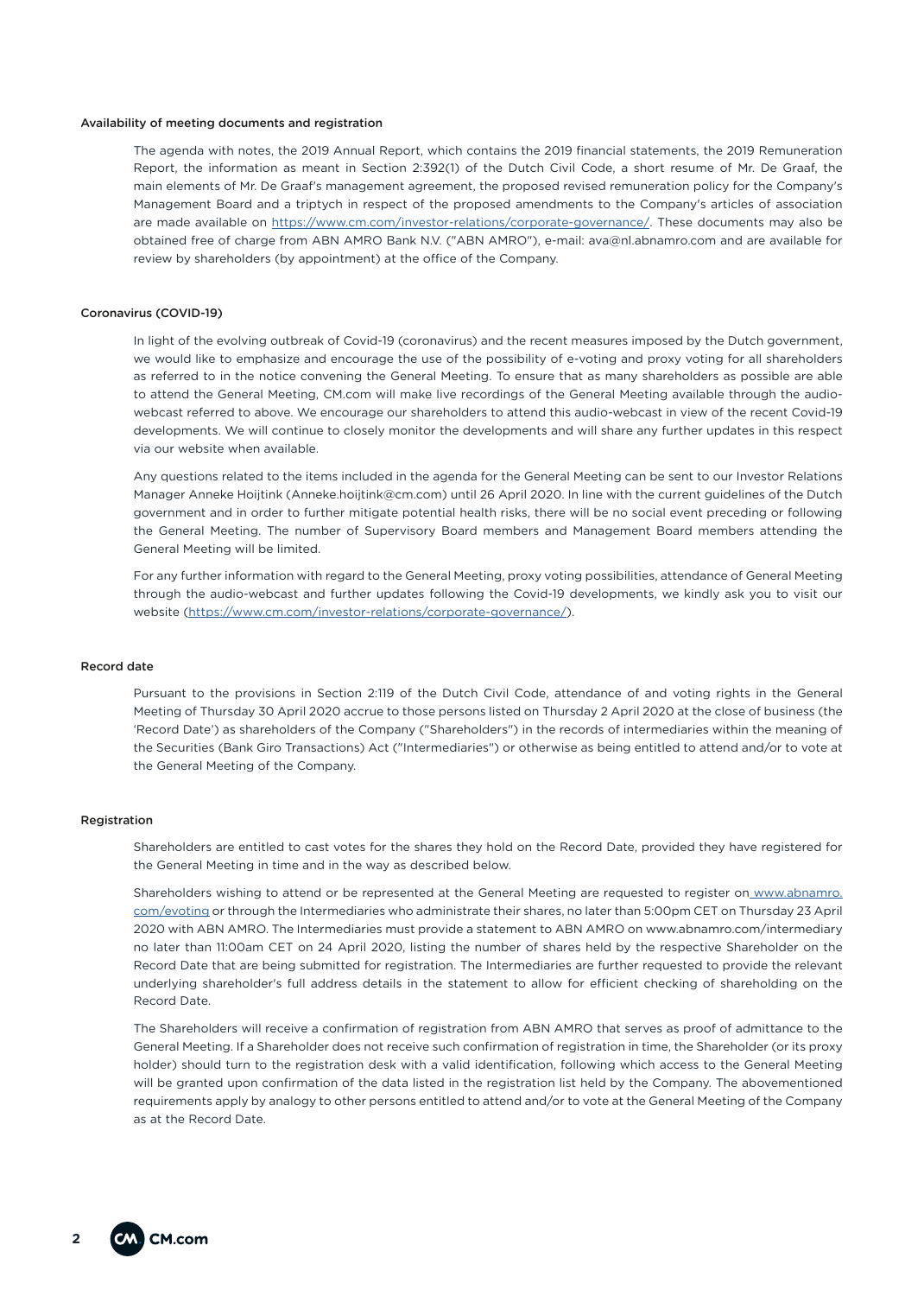#### Availability of meeting documents and registration

The agenda with notes, the 2019 Annual Report, which contains the 2019 financial statements, the 2019 Remuneration Report, the information as meant in Section 2:392(1) of the Dutch Civil Code, a short resume of Mr. De Graaf, the main elements of Mr. De Graaf's management agreement, the proposed revised remuneration policy for the Company's Management Board and a triptych in respect of the proposed amendments to the Company's articles of association are made available on https://www.cm.com/investor-relations/corporate-governance/. These documents may also be obtained free of charge from ABN AMRO Bank N.V. ("ABN AMRO"), e-mail: ava@nl.abnamro.com and are available for review by shareholders (by appointment) at the office of the Company.

#### Coronavirus (COVID-19)

In light of the evolving outbreak of Covid-19 (coronavirus) and the recent measures imposed by the Dutch government, we would like to emphasize and encourage the use of the possibility of e-voting and proxy voting for all shareholders as referred to in the notice convening the General Meeting. To ensure that as many shareholders as possible are able to attend the General Meeting, CM.com will make live recordings of the General Meeting available through the audiowebcast referred to above. We encourage our shareholders to attend this audio-webcast in view of the recent Covid-19 developments. We will continue to closely monitor the developments and will share any further updates in this respect via our website when available.

Any questions related to the items included in the agenda for the General Meeting can be sent to our Investor Relations Manager Anneke Hoijtink (Anneke.hoijtink@cm.com) until 26 April 2020. In line with the current guidelines of the Dutch government and in order to further mitigate potential health risks, there will be no social event preceding or following the General Meeting. The number of Supervisory Board members and Management Board members attending the General Meeting will be limited.

For any further information with regard to the General Meeting, proxy voting possibilities, attendance of General Meeting through the audio-webcast and further updates following the Covid-19 developments, we kindly ask you to visit our website (https://www.cm.com/investor-relations/corporate-governance/).

## Record date

Pursuant to the provisions in Section 2:119 of the Dutch Civil Code, attendance of and voting rights in the General Meeting of Thursday 30 April 2020 accrue to those persons listed on Thursday 2 April 2020 at the close of business (the 'Record Date') as shareholders of the Company ("Shareholders") in the records of intermediaries within the meaning of the Securities (Bank Giro Transactions) Act ("Intermediaries") or otherwise as being entitled to attend and/or to vote at the General Meeting of the Company.

#### Registration

Shareholders are entitled to cast votes for the shares they hold on the Record Date, provided they have registered for the General Meeting in time and in the way as described below.

Shareholders wishing to attend or be represented at the General Meeting are requested to register on www.abnamro. com/evoting or through the Intermediaries who administrate their shares, no later than 5:00pm CET on Thursday 23 April 2020 with ABN AMRO. The Intermediaries must provide a statement to ABN AMRO on www.abnamro.com/intermediary no later than 11:00am CET on 24 April 2020, listing the number of shares held by the respective Shareholder on the Record Date that are being submitted for registration. The Intermediaries are further requested to provide the relevant underlying shareholder's full address details in the statement to allow for efficient checking of shareholding on the Record Date.

The Shareholders will receive a confirmation of registration from ABN AMRO that serves as proof of admittance to the General Meeting. If a Shareholder does not receive such confirmation of registration in time, the Shareholder (or its proxy holder) should turn to the registration desk with a valid identification, following which access to the General Meeting will be granted upon confirmation of the data listed in the registration list held by the Company. The abovementioned requirements apply by analogy to other persons entitled to attend and/or to vote at the General Meeting of the Company as at the Record Date.